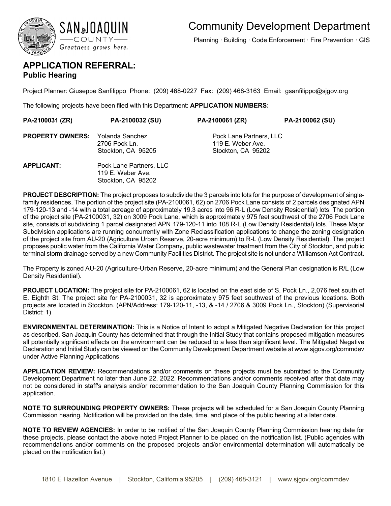

Planning ∙ Building ∙ Code Enforcement ∙ Fire Prevention ∙ GIS

## **APPLICATION REFERRAL: Public Hearing**

Project Planner: Giuseppe Sanfilippo Phone: (209) 468-0227 Fax: (209) 468-3163 Email: gsanfilippo@sjgov.org

The following projects have been filed with this Department: **APPLICATION NUMBERS:** 

| PA-2100031 (ZR)                         | PA-2100032 (SU)                                                    | PA-2100061 (ZR)                                                    | PA-2100062 (SU) |
|-----------------------------------------|--------------------------------------------------------------------|--------------------------------------------------------------------|-----------------|
| <b>PROPERTY OWNERS:</b> Yolanda Sanchez | 2706 Pock Ln.<br>Stockton, CA 95205                                | Pock Lane Partners, LLC<br>119 E. Weber Ave.<br>Stockton, CA 95202 |                 |
| <b>APPLICANT:</b>                       | Pock Lane Partners, LLC<br>119 E. Weber Ave.<br>Stockton, CA 95202 |                                                                    |                 |

**PROJECT DESCRIPTION:** The project proposes to subdivide the 3 parcels into lots for the purpose of development of singlefamily residences. The portion of the project site (PA-2100061, 62) on 2706 Pock Lane consists of 2 parcels designated APN 179-120-13 and -14 with a total acreage of approximately 19.3 acres into 96 R-L (Low Density Residential) lots. The portion of the project site (PA-2100031, 32) on 3009 Pock Lane, which is approximately 975 feet southwest of the 2706 Pock Lane site, consists of subdividing 1 parcel designated APN 179-120-11 into 108 R-L (Low Density Residential) lots. These Major Subdivision applications are running concurrently with Zone Reclassification applications to change the zoning designation of the project site from AU-20 (Agriculture Urban Reserve, 20-acre minimum) to R-L (Low Density Residential). The project proposes public water from the California Water Company, public wastewater treatment from the City of Stockton, and public terminal storm drainage served by a new Community Facilities District. The project site is not under a Williamson Act Contract.

The Property is zoned AU-20 (Agriculture-Urban Reserve, 20-acre minimum) and the General Plan designation is R/L (Low Density Residential).

**PROJECT LOCATION:** The project site for PA-2100061, 62 is located on the east side of S. Pock Ln., 2,076 feet south of E. Eighth St. The project site for PA-2100031, 32 is approximately 975 feet southwest of the previous locations. Both projects are located in Stockton. (APN/Address: 179-120-11, -13, & -14 / 2706 & 3009 Pock Ln., Stockton) (Supervisorial District: 1)

**ENVIRONMENTAL DETERMINATION:** This is a Notice of Intent to adopt a Mitigated Negative Declaration for this project as described. San Joaquin County has determined that through the Initial Study that contains proposed mitigation measures all potentially significant effects on the environment can be reduced to a less than significant level. The Mitigated Negative Declaration and Initial Study can be viewed on the Community Development Department website at www.sjgov.org/commdev under Active Planning Applications.

**APPLICATION REVIEW:** Recommendations and/or comments on these projects must be submitted to the Community Development Department no later than June 22, 2022. Recommendations and/or comments received after that date may not be considered in staff's analysis and/or recommendation to the San Joaquin County Planning Commission for this application.

**NOTE TO SURROUNDING PROPERTY OWNERS:** These projects will be scheduled for a San Joaquin County Planning Commission hearing. Notification will be provided on the date, time, and place of the public hearing at a later date.

**NOTE TO REVIEW AGENCIES:** In order to be notified of the San Joaquin County Planning Commission hearing date for these projects, please contact the above noted Project Planner to be placed on the notification list. (Public agencies with recommendations and/or comments on the proposed projects and/or environmental determination will automatically be placed on the notification list.)